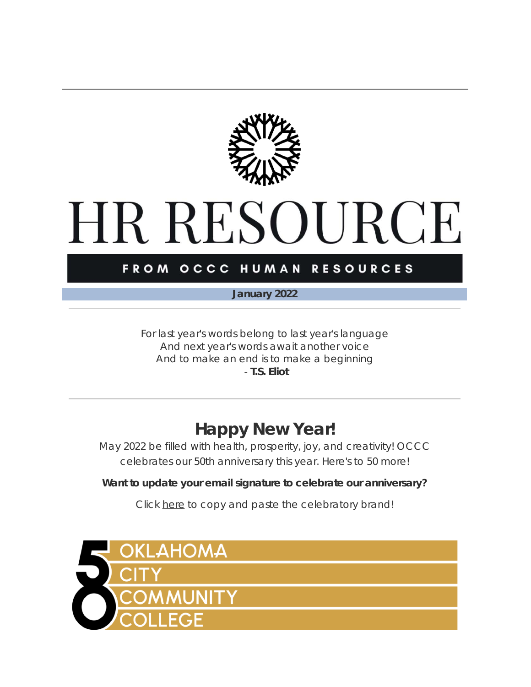

# **HR RESOURCE**

### FROM OCCC HUMAN RESOURCES

*January 2022*

*For last year's words belong to last year's language And next year's words await another voice And to make an end is to make a beginning* - **T.S. Eliot**

### **Happy New Year!**

May 2022 be filled with health, prosperity, joy, and creativity! OCCC celebrates our 50th anniversary this year. Here's to 50 more!

**Want to update your email signature to celebrate our anniversary?**

Click [here](https://t.e2ma.net/click/vdy4qrc/3bm47xl/nrj40qne) to copy and paste the celebratory brand!

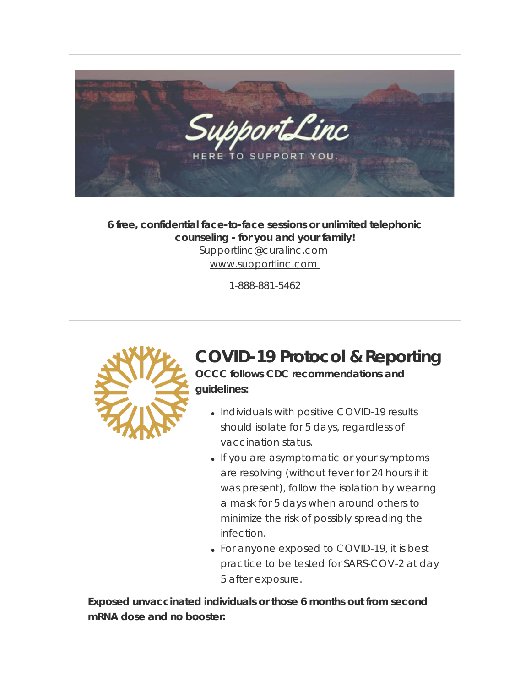

**6 free, confidential face-to-face sessions or unlimited telephonic counseling - for you and your family!** Supportlinc@curalinc.com [www.supportlinc.com](https://t.e2ma.net/click/vdy4qrc/3bm47xl/3jk40qne) 

1-888-881-5462



### **COVID-19 Protocol & Reporting**

**OCCC follows CDC recommendations and guidelines:**

- Individuals with positive COVID-19 results should isolate for 5 days, regardless of vaccination status.
- If you are asymptomatic or your symptoms are resolving (without fever for 24 hours if it was present), follow the isolation by wearing a mask for 5 days when around others to minimize the risk of possibly spreading the infection.
- For anyone exposed to COVID-19, it is best practice to be tested for SARS-COV-2 at day 5 after exposure.

**Exposed unvaccinated individuals or those 6 months out from second mRNA dose and no booster:**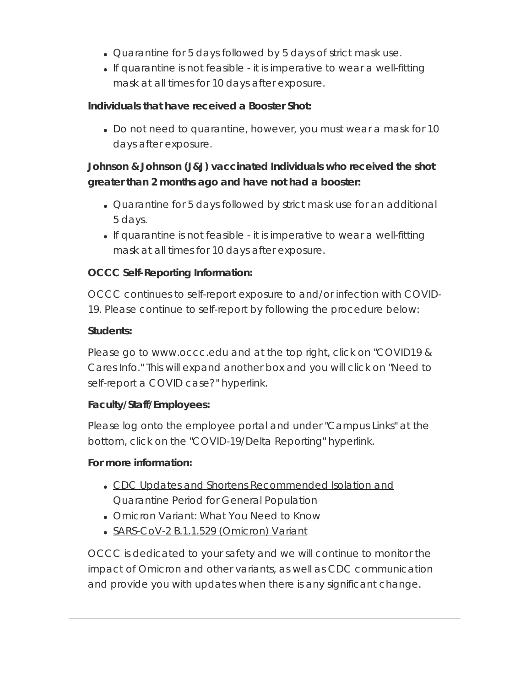- Quarantine for 5 days followed by 5 days of strict mask use.
- If quarantine is not feasible it is imperative to wear a well-fitting mask at all times for 10 days after exposure.

### **Individuals that have received a Booster Shot:**

Do not need to quarantine, however, you must wear a mask for 10 days after exposure.

### **Johnson & Johnson (J&J) vaccinated Individuals who received the shot greater than 2 months ago and have not had a booster:**

- Quarantine for 5 days followed by strict mask use for an additional 5 days.
- If quarantine is not feasible it is imperative to wear a well-fitting mask at all times for 10 days after exposure.

### **OCCC Self-Reporting Information:**

OCCC continues to self-report exposure to and/or infection with COVID-19. Please continue to self-report by following the procedure below:

#### **Students:**

Please go to www.occc.edu and at the top right, click on "COVID19 & Cares Info." This will expand another box and you will click on "Need to self-report a COVID case?" hyperlink.

### **Faculty/Staff/Employees:**

Please log onto the employee portal and under "Campus Links" at the bottom, click on the "COVID-19/Delta Reporting" hyperlink.

### **For more information:**

- CDC Updates and Shortens [Recommended](https://t.e2ma.net/click/vdy4qrc/3bm47xl/jcl40qne) Isolation and [Quarantine](https://t.e2ma.net/click/vdy4qrc/3bm47xl/jcl40qne) Period for General Population
- [Omicron](https://t.e2ma.net/click/vdy4qrc/3bm47xl/z4l40qne) Variant: What You Need to Know
- [SARS-CoV-2](https://t.e2ma.net/click/vdy4qrc/3bm47xl/fxm40qne) B.1.1.529 (Omicron) Variant

OCCC is dedicated to your safety and we will continue to monitor the impact of Omicron and other variants, as well as CDC communication and provide you with updates when there is any significant change.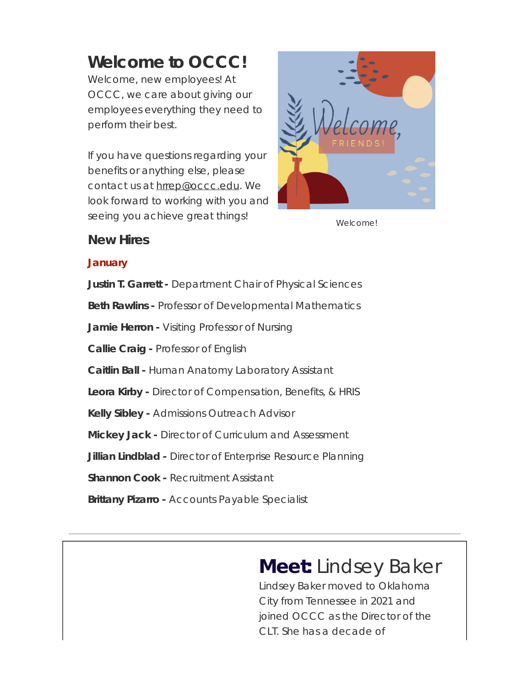### **Welcome to OCCC!**

Welcome, new employees! At OCCC, we care about giving our employees everything they need to perform their best.

If you have questions regarding your benefits or anything else, please contact us at [hrrep@occc.edu](mailto:hrrep@occc.edu). We look forward to working with you and seeing you achieve great things!



**Welcome!** 

### **New Hires**

### **January**

**Justin T. Garrett -** Department Chair of Physical Sciences **Beth Rawlins -** Professor of Developmental Mathematics **Jamie Herron -** Visiting Professor of Nursing **Callie Craig -** Professor of English **Caitlin Ball -** Human Anatomy Laboratory Assistant **Leora Kirby -** Director of Compensation, Benefits, & HRIS **Kelly Sibley -** Admissions Outreach Advisor **Mickey Jack -** Director of Curriculum and Assessment **Jillian Lindblad -** Director of Enterprise Resource Planning **Shannon Cook - Recruitment Assistant Brittany Pizarro -** Accounts Payable Specialist

# **Meet:** Lindsey Baker

Lindsey Baker moved to Oklahoma City from Tennessee in 2021 and joined OCCC as the Director of the CLT. She has a decade of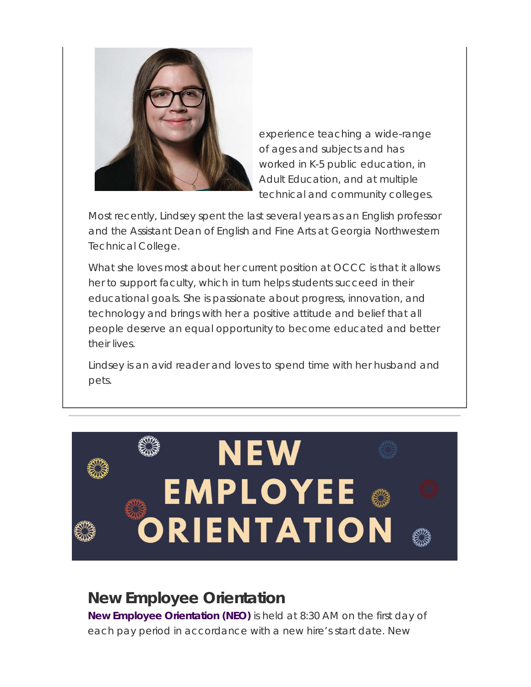

experience teaching a wide-range of ages and subjects and has worked in K-5 public education, in Adult Education, and at multiple technical and community colleges.

Most recently, Lindsey spent the last several years as an English professor and the Assistant Dean of English and Fine Arts at Georgia Northwestern Technical College.

What she loves most about her current position at OCCC is that it allows her to support faculty, which in turn helps students succeed in their educational goals. She is passionate about progress, innovation, and technology and brings with her a positive attitude and belief that all people deserve an equal opportunity to become educated and better their lives.

Lindsey is an avid reader and loves to spend time with her husband and pets.



### **New Employee Orientation**

**New Employee Orientation (NEO)** is held at 8:30 AM on the first day of each pay period in accordance with a new hire's start date. New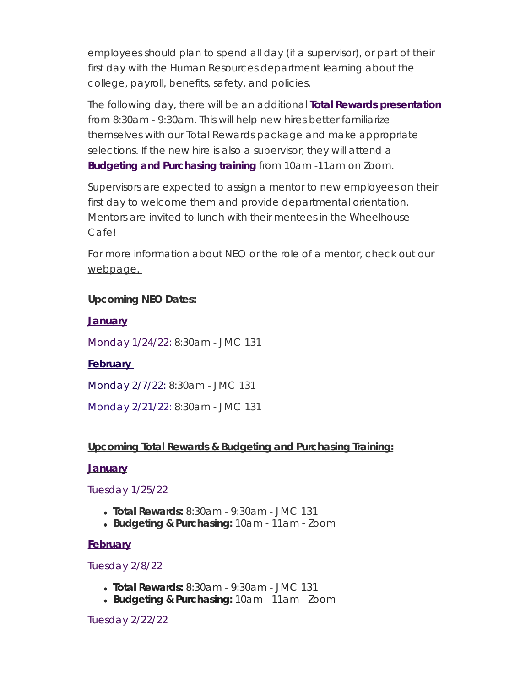employees should plan to spend all day (if a supervisor), or part of their first day with the Human Resources department learning about the college, payroll, benefits, safety, and policies.

The following day, there will be an additional **Total Rewards presentation** from 8:30am - 9:30am. This will help new hires better familiarize themselves with our Total Rewards package and make appropriate selections. If the new hire is also a supervisor, they will attend a **Budgeting and Purchasing training** from 10am -11am on Zoom.

Supervisors are expected to assign a mentor to new employees on their first day to welcome them and provide departmental orientation. Mentors are invited to lunch with their mentees in the Wheelhouse Cafe!

For more information about NEO or the role of a mentor, check out our webpage.

#### **Upcoming NEO Dates:**

#### **January**

Monday 1/24/22: 8:30am - JMC 131

#### **February**

Monday 2/7/22: 8:30am - JMC 131

Monday 2/21/22: 8:30am - JMC 131

#### **Upcoming Total Rewards & Budgeting and Purchasing Training:**

#### **January**

#### Tuesday 1/25/22

- **Total Rewards:** 8:30am 9:30am JMC 131
- **Budgeting & Purchasing:** 10am 11am Zoom

#### **February**

#### Tuesday 2/8/22

- **Total Rewards:** 8:30am 9:30am JMC 131
- **Budgeting & Purchasing:** 10am 11am Zoom

#### Tuesday 2/22/22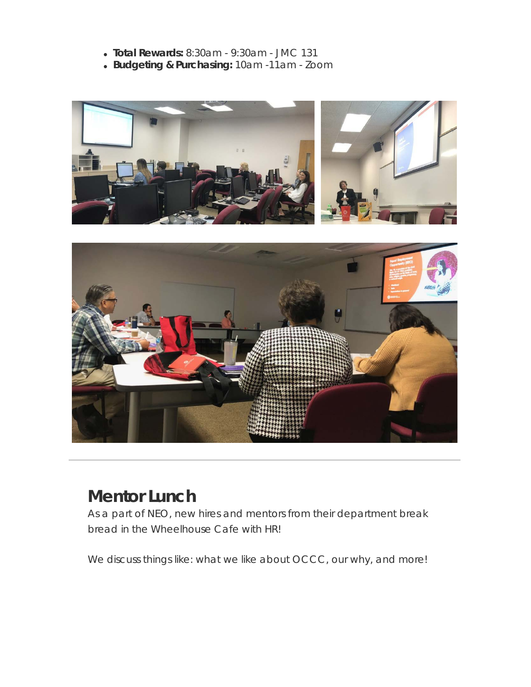- **Total Rewards:** 8:30am 9:30am JMC 131
- **Budgeting & Purchasing:** 10am -11am Zoom



### **Mentor Lunch**

As a part of NEO, new hires and mentors from their department break bread in the Wheelhouse Cafe with HR!

We discuss things like: what we like about OCCC, our why, and more!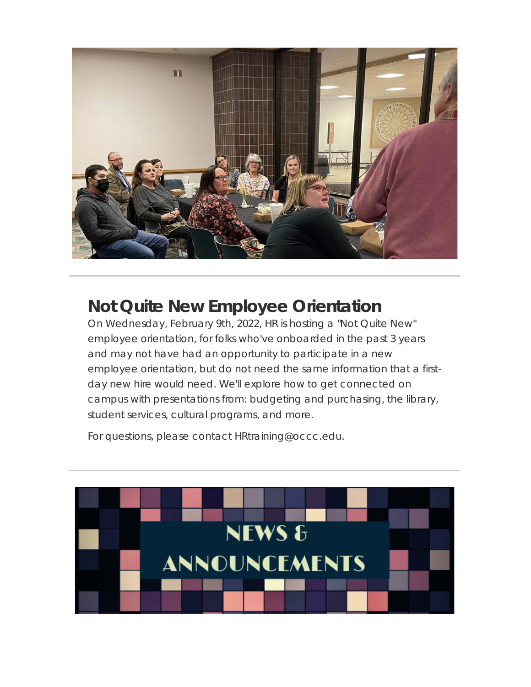

### **Not Quite New Employee Orientation**

On Wednesday, February 9th, 2022, HR is hosting a "Not Quite New" employee orientation, for folks who've onboarded in the past 3 years and may not have had an opportunity to participate in a new employee orientation, but do not need the same information that a firstday new hire would need. We'll explore how to get connected on campus with presentations from: budgeting and purchasing, the library, student services, cultural programs, and more.

For questions, please contact HRtraining@occc.edu.

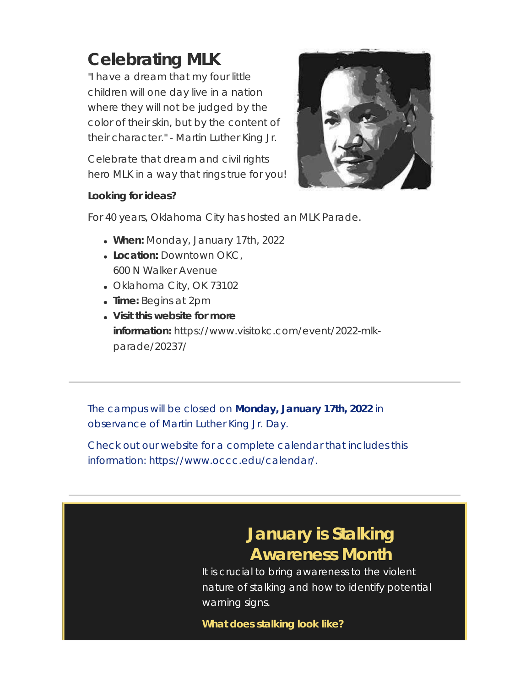# **Celebrating MLK**

"I have a dream that my four little children will one day live in a nation where they will not be judged by the color of their skin, but by the content of their character." - Martin Luther King Jr.

Celebrate that dream and civil rights hero MLK in a way that rings true for you!



#### **Looking for ideas?**

For 40 years, Oklahoma City has hosted an MLK Parade.

- **When:** Monday, January 17th, 2022
- **Location:** Downtown OKC, 600 N Walker Avenue
- Oklahoma City, OK 73102
- **Time:** Begins at 2pm
- **Visit this website for more information:** https://www.visitokc.com/event/2022-mlkparade/20237/

The campus will be closed on **Monday, January 17th, 2022** in observance of Martin Luther King Jr. Day.

Check out our website for a complete calendar that includes this information: https://www.occc.edu/calendar/.

### **January is Stalking Awareness Month**

It is crucial to bring awareness to the violent nature of stalking and how to identify potential warning signs.

**What does stalking look like?**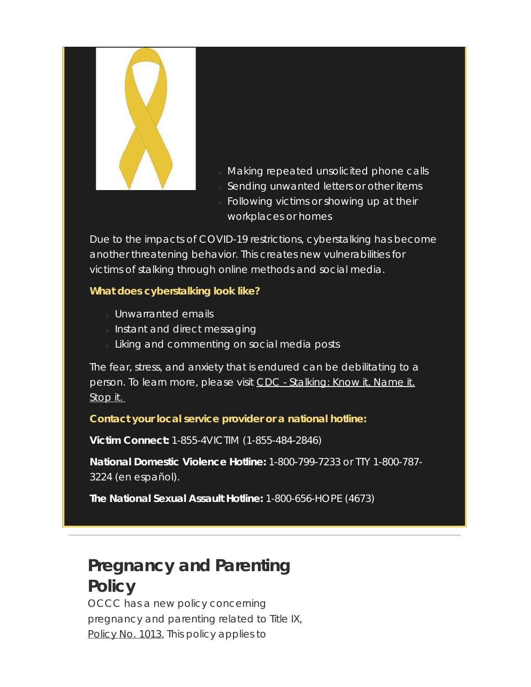

- Making repeated unsolicited phone calls
- Sending unwanted letters or other items
- Following victims or showing up at their workplaces or homes

Due to the impacts of COVID-19 restrictions, cyberstalking has become another threatening behavior. This creates new vulnerabilities for victims of stalking through online methods and social media.

### **What does cyberstalking look like?**

- Unwarranted emails
- Instant and direct messaging
- Liking and commenting on social media posts

The fear, stress, and anxiety that is endured can be debilitating to a person. To learn more, please visit CDC - [Stalking:](https://t.e2ma.net/click/vdy4qrc/3bm47xl/bio40qne) Know it. Name it. [Stop](https://t.e2ma.net/click/vdy4qrc/3bm47xl/bio40qne) it.

#### **Contact your local service provider or a national hotline:**

**Victim Connect:** 1-855-4VICTIM (1-855-484-2846)

**National Domestic Violence Hotline:** 1-800-799-7233 or TTY 1-800-787- 3224 (en español).

**The National Sexual Assault Hotline:** 1-800-656-HOPE (4673)

### **Pregnancy and Parenting Policy**

OCCC has a new policy concerning pregnancy and parenting related to Title IX, [Policy](https://t.e2ma.net/click/vdy4qrc/3bm47xl/rap40qne) No. 1013. This policy applies to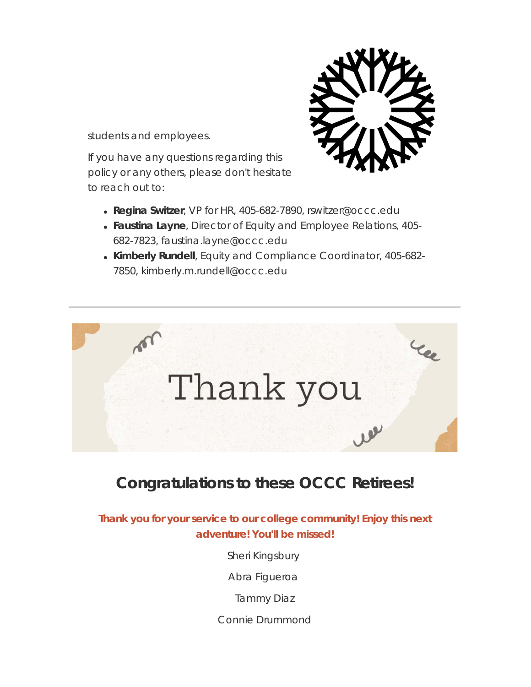

If you have any questions regarding this policy or any others, please don't hesitate to reach out to:



- **Regina Switzer**, VP for HR, 405-682-7890, rswitzer@occc.edu
- **Faustina Layne**, Director of Equity and Employee Relations, 405- 682-7823, faustina.layne@occc.edu
- **Kimberly Rundell**, Equity and Compliance Coordinator, 405-682- 7850, kimberly.m.rundell@occc.edu



### **Congratulations to these OCCC Retirees!**

**Thank you for your service to our college community! Enjoy this next adventure! You'll be missed!**

Sheri Kingsbury

Abra Figueroa

Tammy Diaz

Connie Drummond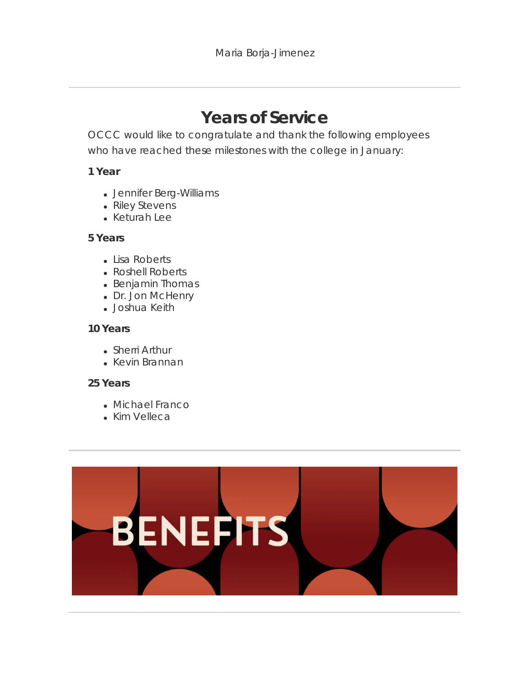### **Years of Service**

OCCC would like to congratulate and thank the following employees who have reached these milestones with the college in January:

#### **1 Year**

- Jennifer Berg-Williams
- Riley Stevens
- Keturah Lee

#### **5 Years**

- Lisa Roberts
- Roshell Roberts
- Benjamin Thomas
- Dr. Jon McHenry
- Joshua Keith

#### **10 Years**

- Sherri Arthur
- Kevin Brannan

#### **25 Years**

- Michael Franco
- Kim Velleca

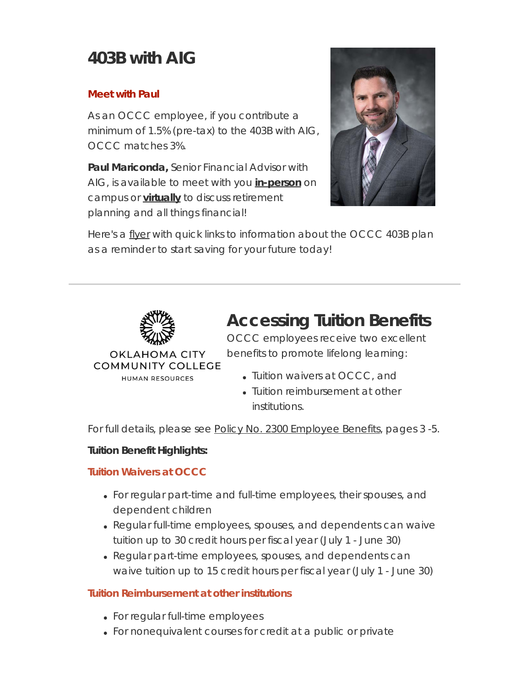### **403B with AIG**

#### **Meet with Paul**

As an OCCC employee, if you contribute a minimum of 1.5% (pre-tax) to the 403B with AIG, OCCC matches 3%.

**Paul Mariconda,** Senior Financial Advisor with AIG, is available to meet with you **[in-person](https://t.e2ma.net/click/vdy4qrc/3bm47xl/72p40qne)** on campus or **[virtually](https://t.e2ma.net/click/vdy4qrc/3bm47xl/nvq40qne)** to discuss retirement planning and all things financial!



Here's a [flyer](https://t.e2ma.net/click/vdy4qrc/3bm47xl/3nr40qne) with quick links to information about the OCCC 403B plan as a reminder to start saving for your future today!



**COMMUNITY COLLEGE** HUMAN RESOURCES

### **Accessing Tuition Benefits**

OCCC employees receive two excellent benefits to promote lifelong learning:

- Tuition waivers at OCCC, and
- Tuition reimbursement at other institutions.

For full details, please see Policy No. 2300 [Employee](https://t.e2ma.net/click/vdy4qrc/3bm47xl/jgs40qne) Benefits, pages 3 -5.

### **Tuition Benefit Highlights:**

### **Tuition Waivers at OCCC**

- For regular part-time and full-time employees, their spouses, and dependent children
- Regular full-time employees, spouses, and dependents can waive tuition up to 30 credit hours per fiscal year (July 1 - June 30)
- Regular part-time employees, spouses, and dependents can waive tuition up to 15 credit hours per fiscal year (July 1 - June 30)

### **Tuition Reimbursement at other institutions**

- For regular full-time employees
- For nonequivalent courses for credit at a public or private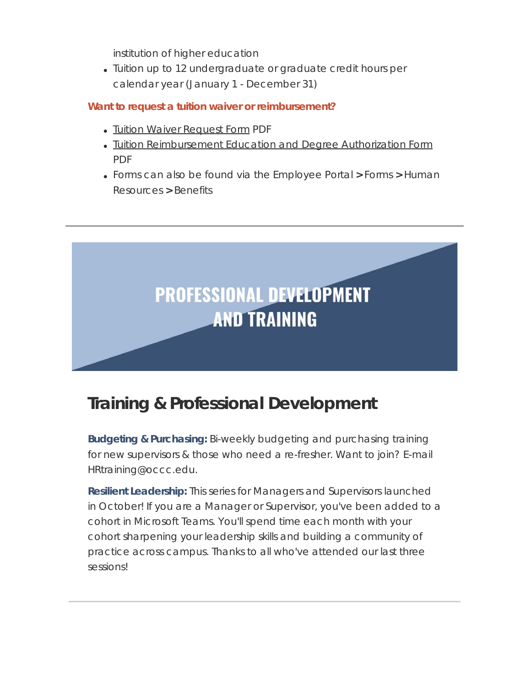institution of higher education

Tuition up to 12 undergraduate or graduate credit hours per calendar year (January 1 - December 31)

### **Want to request a tuition waiver or reimbursement?**

- Tuition Waiver [Request](https://t.e2ma.net/click/vdy4qrc/3bm47xl/z8s40qne) Form PDF
- Tuition [Reimbursement](https://t.e2ma.net/click/vdy4qrc/3bm47xl/f1t40qne) Education and Degree Authorization Form PDF
- Forms can also be found via the Employee Portal **>** Forms **>** Human Resources **>** Benefits



### **Training & Professional Development**

**Budgeting & Purchasing:** Bi-weekly budgeting and purchasing training for new supervisors & those who need a re-fresher. Want to join? E-mail HRtraining@occc.edu.

**Resilient Leadership:** This series for Managers and Supervisors launched in October! If you are a Manager or Supervisor, you've been added to a cohort in Microsoft Teams. You'll spend time each month with your cohort sharpening your leadership skills and building a community of practice across campus. Thanks to all who've attended our last three sessions!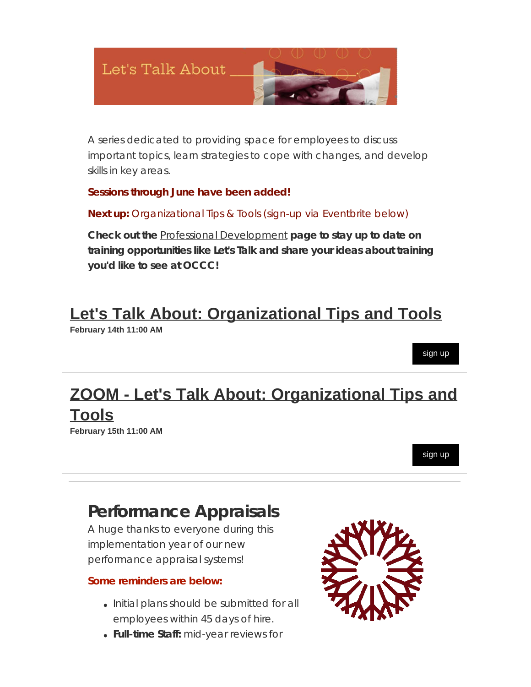

A series dedicated to providing space for employees to discuss important topics, learn strategies to cope with changes, and develop skills in key areas.

#### **Sessions through June have been added!**

**Next up:** Organizational Tips & Tools (sign-up via Eventbrite below)

**Check out the** Professional [Development](https://t.e2ma.net/click/vdy4qrc/3bm47xl/vtu40qne) **page to stay up to date on training opportunities like Let's Talk and share your ideas about training you'd like to see at OCCC!**

### **[Let's Talk About: Organizational Tips and Tools](https://t.e2ma.net/click/vdy4qrc/3bm47xl/bmv40qne)**

**February 14th 11:00 AM**

## **[ZOOM - Let's Talk About: Organizational Tips and](https://t.e2ma.net/click/vdy4qrc/3bm47xl/76w40qne) [Tools](https://t.e2ma.net/click/vdy4qrc/3bm47xl/76w40qne)**

**February 15th 11:00 AM**

[sign up](https://t.e2ma.net/click/vdy4qrc/3bm47xl/nzx40qne)

[sign up](https://t.e2ma.net/click/vdy4qrc/3bm47xl/rew40qne)

### **Performance Appraisals**

A huge thanks to everyone during this implementation year of our new performance appraisal systems!

#### **Some reminders are below:**

- Initial plans should be submitted for all employees within 45 days of hire.
- **Full-time Staff:** mid-year reviews for

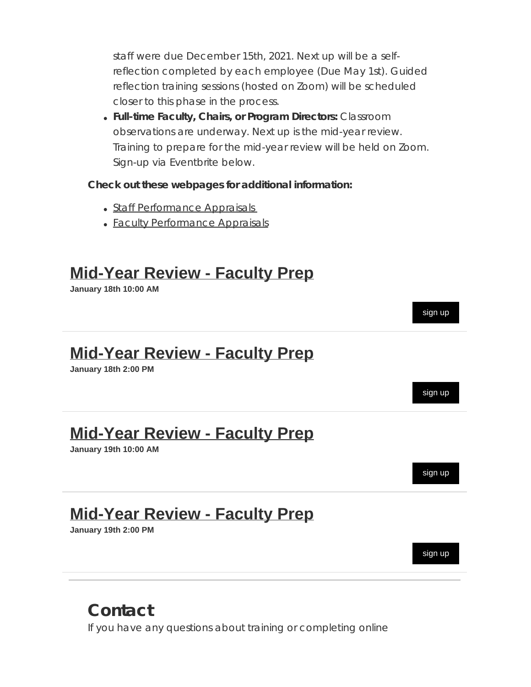staff were due December 15th, 2021. Next up will be a selfreflection completed by each employee (Due May 1st). Guided reflection training sessions (hosted on Zoom) will be scheduled closer to this phase in the process.

**Full-time Faculty, Chairs, or Program Directors:** Classroom observations are underway. Next up is the mid-year review. Training to prepare for the mid-year review will be held on Zoom. Sign-up via Eventbrite below.

#### **Check out these webpages for additional information:**

- Staff [Performance](https://t.e2ma.net/click/vdy4qrc/3bm47xl/3ry40qne) Appraisals
- Faculty [Performance](https://t.e2ma.net/click/vdy4qrc/3bm47xl/jkz40qne) Appraisals

### **[Mid-Year Review - Faculty Prep](https://t.e2ma.net/click/vdy4qrc/3bm47xl/zc040qne)**

**January 18th 10:00 AM**



### **Contact**

If you have any questions about training or completing online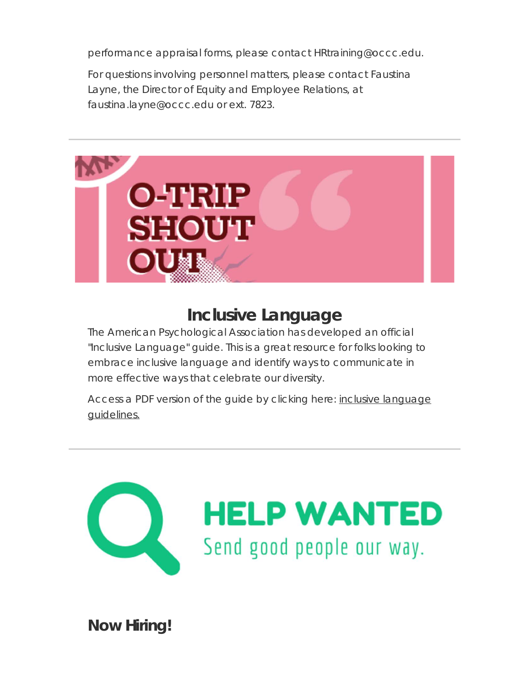performance appraisal forms, please contact HRtraining@occc.edu.

For questions involving personnel matters, please contact Faustina Layne, the Director of Equity and Employee Relations, at faustina.layne@occc.edu or ext. 7823.



### **Inclusive Language**

The American Psychological Association has developed an official "Inclusive Language" guide. This is a great resource for folks looking to embrace inclusive language and identify ways to communicate in more effective ways that celebrate our diversity.

Access a PDF version of the guide by clicking here: inclusive [language](https://t.e2ma.net/click/vdy4qrc/3bm47xl/jo640qne) [guidelines.](https://t.e2ma.net/click/vdy4qrc/3bm47xl/jo640qne)



**Now Hiring!**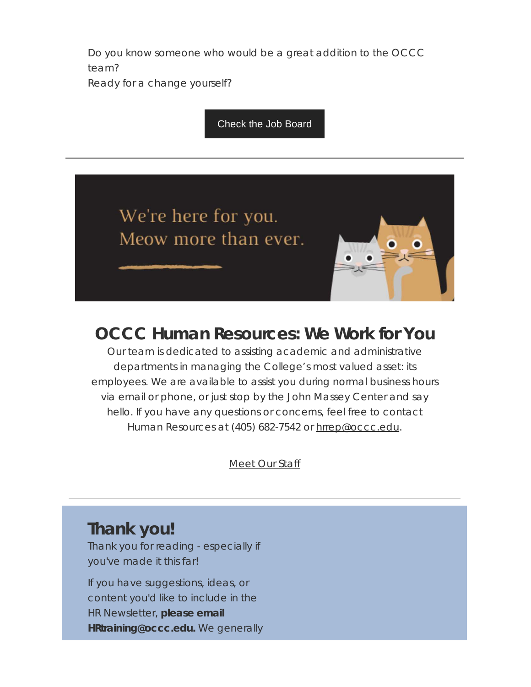Do you know someone who would be a great addition to the OCCC team?

Ready for a change yourself?

#### [Check the Job Board](https://t.e2ma.net/click/vdy4qrc/3bm47xl/zg740qne)

We're here for you. Meow more than ever.



### **OCCC Human Resources: We Work for You**

Our team is dedicated to assisting academic and administrative departments in managing the College's most valued asset: its employees. We are available to assist you during normal business hours via email or phone, or just stop by the John Massey Center and say hello. If you have any questions or concerns, feel free to contact Human Resources at (405) 682-7542 or [hrrep@occc.edu](mailto:hrrep@occc.edu).

[Meet](https://t.e2ma.net/click/vdy4qrc/3bm47xl/f9740qne) Our Staff

### **Thank you!**

Thank you for reading - especially if you've made it this far!

If you have suggestions, ideas, or content you'd like to include in the HR Newsletter, **please email HRtraining@occc.edu.** We generally